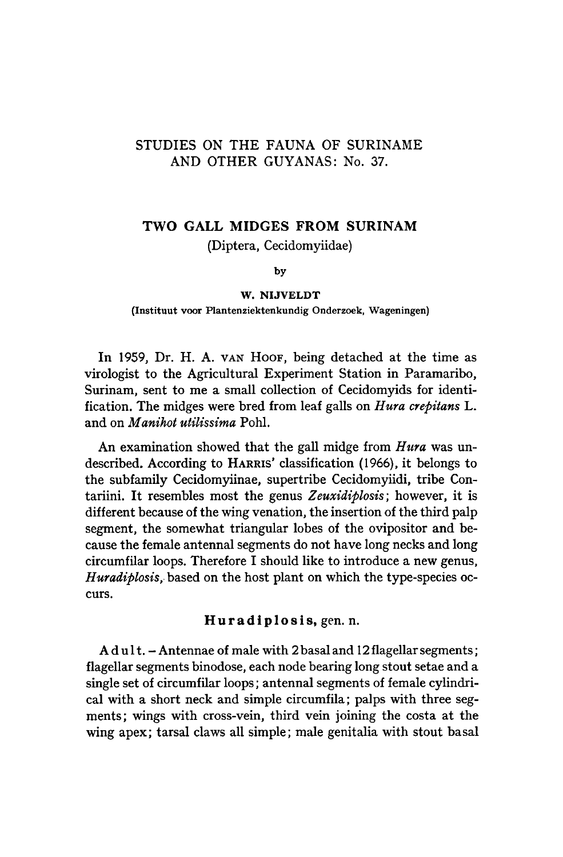# STUDIES ON THE FAUNA OF SURINAME AND OTHER GUYANAS: No. 37.

# Two Gall Midges from Surinam

(Diptera, Cecidomyiidae)

by

#### W. Nijveldt

#### (Instituut voor Plantenziektenkundig Onderzoek, Wageningen)

In 1959, Dr. H. A. VAN HOOF, being detached at the time as virologist to the Agricultural Experiment Station in Paramaribo, Surinam, sent to me a small collection of Cecidomyids for identification. The midges were bred from leaf galls on Hura crepitans L. and on Manihot utilissima Pohl.

An examination showed that the gall midge from Hura was undescribed. According to HARRIS' classification (1966), it belongs to the subfamily Cecidomyiinae, supertribe Cecidomyiidi, tribe Contariini. It resembles most the genus Zeuxidiplosis; however, it is different because of the wing venation, the insertion of the third palp segment, the somewhat triangular lobes of the ovipositor and because the female antennal segments do not have long necks and long circumfilar loops. Therefore I should like to introduce <sup>a</sup> new genus, Huradiplosis, based on the host plant on which the type-species occurs.

## Huradiplosis, gen. n.

 $A \, du \, dt$ . - Antennae of male with 2 basal and 12 flagellar segments; flagellar segments binodose, each node bearing long stout setae and a single set of circumfilar loops; antennal segments of female cylindrical with <sup>a</sup> short neck and simple circumfila; palps with three segments; wings with cross-vein, third vein joining the costa at the wing apex; tarsal claws all simple; male genitalia with stout basal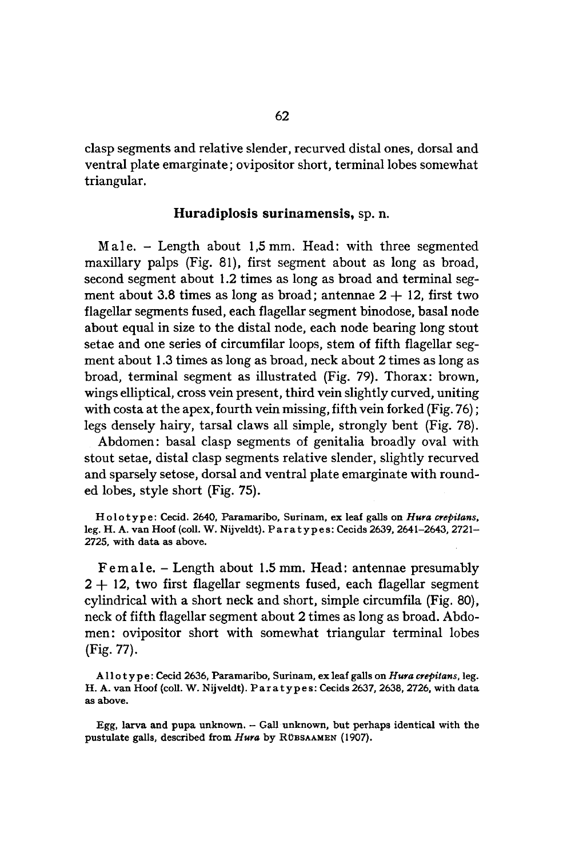clasp segments and relative slender, recurved distal ones, dorsal and ventral plate emarginate; ovipositor short, terminal lobes somewhat triangular.

### Huradiplosis surinamensis, sp. n.

Male. - Length about 1,5mm. Head: with three segmented maxillary palps (Fig. 81), first segment about as long as broad, second segment about 1.2 times as long as broad and terminal segment about 3.8 times as long as broad; antennae  $2 + 12$ , first two flagellar segments fused, each flagellar segment binodose, basal node about equal in size to the distal node, each node bearing long stout setae and one series of circumfilar loops, stem of fifth flagellar segmentabout 1.3 times as long as broad, neck about 2 times as long as broad, terminal segment as illustrated (Fig. 79). Thorax: brown, wings elliptical, cross vein present, third vein slightly curved, uniting with costa at the apex, fourth vein missing, fifth vein forked (Fig. 76); legs densely hairy, tarsal claws all simple, strongly bent (Fig. 78).

Abdomen: basal clasp segments of genitalia broadly oval with stout setae, distal clasp segments relative slender, slightly recurved and sparsely setose, dorsal and ventral plate emarginate with rounded lobes, style short (Fig. 75).

Holotype: Cecid. 2640, Paramaribo, Surinam, ex leaf galls on Hura crepitans, leg. H. A. van Hoof (coll. W. Nijveldt). Paratypes: Cecids 2639, 2641-2643, 2721-2725, with data as above.

Female. - Length about 1.5 mm. Head: antennae presumably  $2+12$ , two first flagellar segments fused, each flagellar segment cylindrical with <sup>a</sup> short neck and short, simple circumfila (Fig. 80), neck of fifth flagellar segment about <sup>2</sup> times as long as broad. Abdomen: ovipositor short with somewhat triangular terminal lobes (Fig. 77).

Allotype: Cecid 2636, Paramaribo, Surinam, ex leaf galls on Hura crepitans, leg. H. A. van Hoof (coll. W. Nijveldt). Paratypes: Cecids 2637, 2638, 2726, with data as above.

Egg, larva and pupa unknown.  $-$  Gall unknown, but perhaps identical with the pustulate galls, described from Hura by RÜBSAAMEN (1907).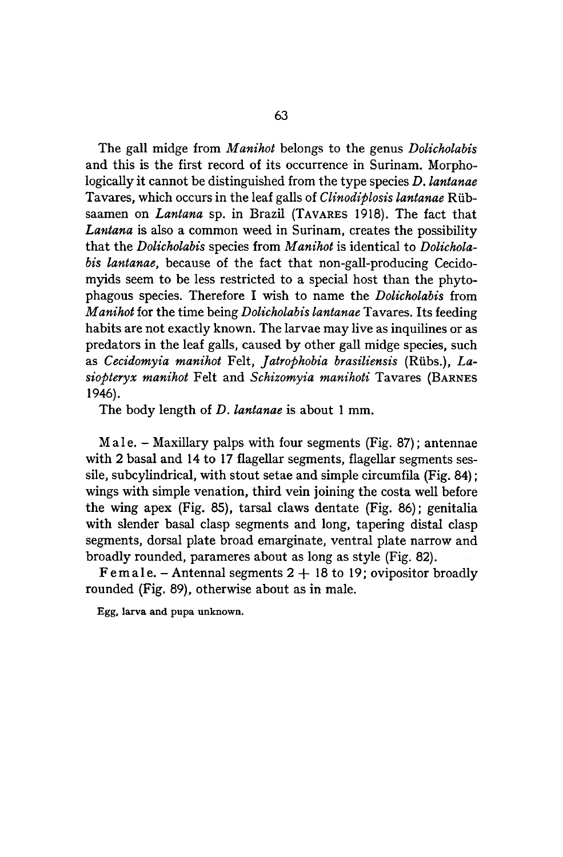The gall midge from *Manihot* belongs to the genus *Dolicholabis* and this is the first record of its occurrence in Surinam. Morphologically it cannot be distinguished from the type species D. lantanae Tavares, which occurs in the leaf galls of Clinodiplosis lantanae Riibsaamen on Lantana sp. in Brazil (TAVARES 1918). The fact that Lantana is also a common weed in Surinam, creates the possibility that the Dolicholabis species from Manihot is identical to Dolicholabis lantanae, because of the fact that non-gall-producing Cecidomyids seem to be less restricted to a special host than the phytophagous species. Therefore I wish to name the Dolicholabis from Manihot for the time being Dolicholabis lantanae Tavares. Its feeding habits are not exactly known. The larvae may live as inquilines or as predators in the leaf galls, caused by other gall midge species, such as Cecidomyia manihot Felt, Jatrophobia brasiliensis (Rübs.), Lasiopteryx manihot Felt and Schizomyia manihoti Tavares (BARNES 1946).

The body length of D. lantanae is about 1 mm.

Male. - Maxillary palps with four segments (Fig. 87); antennae with 2 basal and <sup>14</sup> to <sup>17</sup> flagellar segments, flagellar segments sessile, subcylindrical, with stout setae and simple circumfila (Fig. 84); wings with simple venation, third vein joining the costa well before the wing apex (Fig. 85), tarsal claws dentate (Fig. 86); genitalia with slender basal clasp segments and long, tapering distal clasp segments, dorsal plate broad emarginate, ventral plate narrow and broadly rounded, parameres about as long as style (Fig. 82).

Female. - Antennal segments  $2 + 18$  to 19; ovipositor broadly rounded (Fig. 89), otherwise about as in male.

Egg, larva and pupa unknown.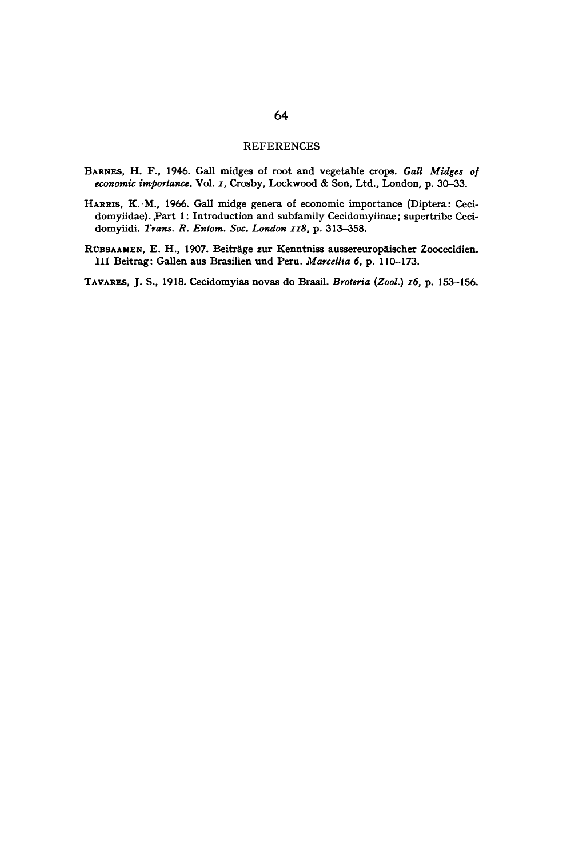#### REFERENCES

- BARNES, H. F., 1946. Gall midges of root and vegetable crops. Gall Midges of economic importance. Vol. 1, Crosby, Lockwood & Son, Ltd., London, p. 30-33.
- HARRIS, K. M., 1966. Gall midge genera of economic importance (Diptera: Cecidomyiidae). Part 1: Introduction and subfamily Cecidomyiinae; supertribe Cecidomyiidi. Trans. R. Entom. Soc. London 118, p. 313-358.
- RUBSAAMEN, E. H., 1907. Beiträge zur Kenntniss aussereuropäischer Zoocecidien. ILL Beitrag: Gallen aus Brasilien und Peru. Marcellia 6, p. 110-173.

TAVARES, J. S., 1918. Cecidomyias novas do Brasil. Broteria (Zool.) 16, p. 153-156.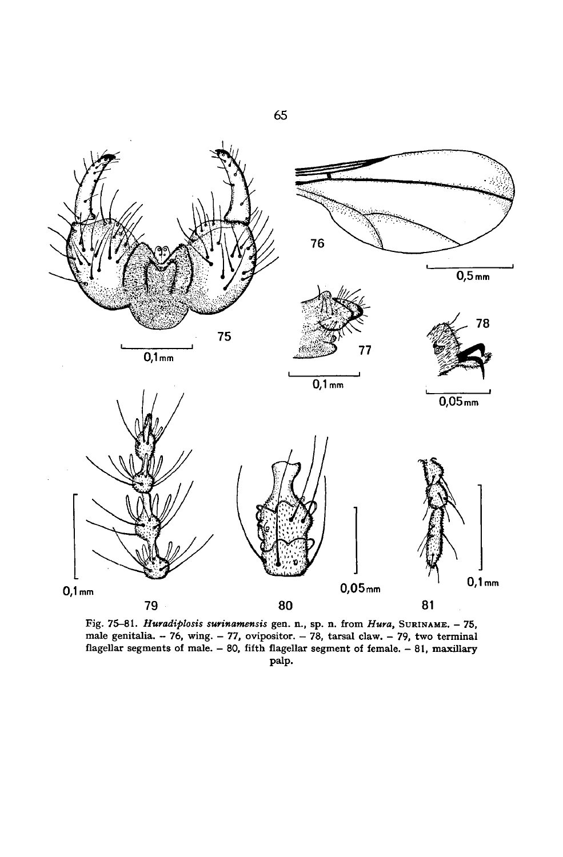

Fig. 75-81. Huradiplosis surinamensis gen. n., sp. n. from Hura, SURINAME. - 75, male genitalia. - 76, wing. - 77, ovipositor. — 78, tarsal claw. - 79, two terminal flagellar segments of male. - 80, fifth flagellar segment of female. -81, maxillary palp.

65